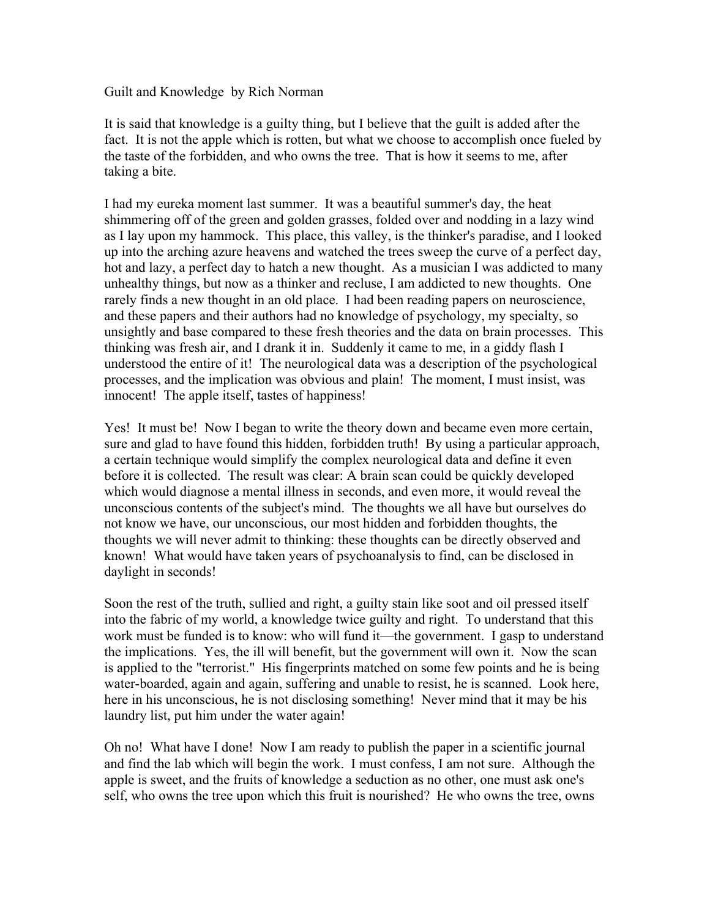Guilt and Knowledge by Rich Norman

It is said that knowledge is a guilty thing, but I believe that the guilt is added after the fact. It is not the apple which is rotten, but what we choose to accomplish once fueled by the taste of the forbidden, and who owns the tree. That is how it seems to me, after taking a bite.

I had my eureka moment last summer. It was a beautiful summer's day, the heat shimmering off of the green and golden grasses, folded over and nodding in a lazy wind as I lay upon my hammock. This place, this valley, is the thinker's paradise, and I looked up into the arching azure heavens and watched the trees sweep the curve of a perfect day, hot and lazy, a perfect day to hatch a new thought. As a musician I was addicted to many unhealthy things, but now as a thinker and recluse, I am addicted to new thoughts. One rarely finds a new thought in an old place. I had been reading papers on neuroscience, and these papers and their authors had no knowledge of psychology, my specialty, so unsightly and base compared to these fresh theories and the data on brain processes. This thinking was fresh air, and I drank it in. Suddenly it came to me, in a giddy flash I understood the entire of it! The neurological data was a description of the psychological processes, and the implication was obvious and plain! The moment, I must insist, was innocent! The apple itself, tastes of happiness!

Yes! It must be! Now I began to write the theory down and became even more certain, sure and glad to have found this hidden, forbidden truth! By using a particular approach, a certain technique would simplify the complex neurological data and define it even before it is collected. The result was clear: A brain scan could be quickly developed which would diagnose a mental illness in seconds, and even more, it would reveal the unconscious contents of the subject's mind. The thoughts we all have but ourselves do not know we have, our unconscious, our most hidden and forbidden thoughts, the thoughts we will never admit to thinking: these thoughts can be directly observed and known! What would have taken years of psychoanalysis to find, can be disclosed in daylight in seconds!

Soon the rest of the truth, sullied and right, a guilty stain like soot and oil pressed itself into the fabric of my world, a knowledge twice guilty and right. To understand that this work must be funded is to know: who will fund it—the government. I gasp to understand the implications. Yes, the ill will benefit, but the government will own it. Now the scan is applied to the "terrorist." His fingerprints matched on some few points and he is being water-boarded, again and again, suffering and unable to resist, he is scanned. Look here, here in his unconscious, he is not disclosing something! Never mind that it may be his laundry list, put him under the water again!

Oh no! What have I done! Now I am ready to publish the paper in a scientific journal and find the lab which will begin the work. I must confess, I am not sure. Although the apple is sweet, and the fruits of knowledge a seduction as no other, one must ask one's self, who owns the tree upon which this fruit is nourished? He who owns the tree, owns